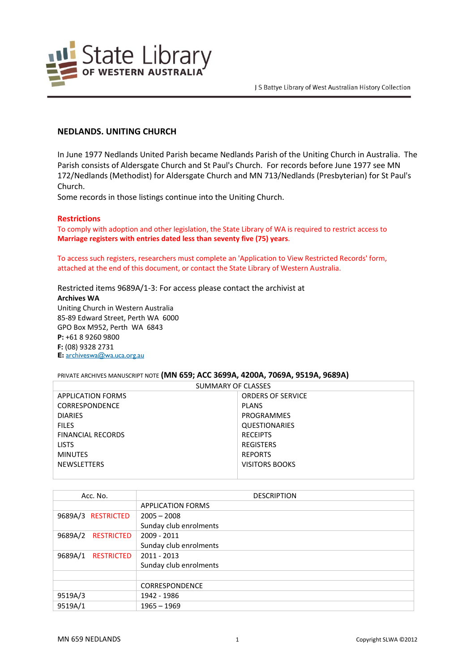

# **NEDLANDS. UNITING CHURCH**

In June 1977 Nedlands United Parish became Nedlands Parish of the Uniting Church in Australia. The Parish consists of Aldersgate Church and St Paul's Church. For records before June 1977 see MN 172/Nedlands (Methodist) for Aldersgate Church and MN 713/Nedlands (Presbyterian) for St Paul's Church.

Some records in those listings continue into the Uniting Church.

### **Restrictions**

To comply with adoption and other legislation, the State Library of WA is required to restrict access to **Marriage registers with entries dated less than seventy five (75) years**.

To access such registers, researchers must complete an 'Application to View Restricted Records' form, attached at the end of this document, or contact the State Library of Western Australia.

Restricted items 9689A/1-3: For access please contact the archivist at **Archives WA** Uniting Church in Western Australia 85-89 Edward Street, Perth WA 6000 GPO Box M952, Perth WA 6843 **P:** +61 8 9260 9800 **F:** (08) 9328 2731 **E:** <archiveswa@wa.uca.org.au>

#### PRIVATE ARCHIVES MANUSCRIPT NOTE **(MN 659; ACC 3699A, 4200A, 7069A, 9519A, 9689A)**

| SUMMARY OF CLASSES       |                          |
|--------------------------|--------------------------|
| <b>APPLICATION FORMS</b> | <b>ORDERS OF SERVICE</b> |
| CORRESPONDENCE           | <b>PLANS</b>             |
| <b>DIARIES</b>           | PROGRAMMES               |
| <b>FILES</b>             | <b>QUESTIONARIES</b>     |
| FINANCIAL RECORDS        | <b>RECEIPTS</b>          |
| <b>LISTS</b>             | <b>REGISTERS</b>         |
| <b>MINUTES</b>           | <b>REPORTS</b>           |
| <b>NEWSLETTERS</b>       | VISITORS BOOKS           |
|                          |                          |

| Acc. No.                     | <b>DESCRIPTION</b>       |
|------------------------------|--------------------------|
|                              | <b>APPLICATION FORMS</b> |
| 9689A/3 RESTRICTED           | $2005 - 2008$            |
|                              | Sunday club enrolments   |
| 9689A/2<br><b>RESTRICTED</b> | 2009 - 2011              |
|                              | Sunday club enrolments   |
| 9689A/1<br><b>RESTRICTED</b> | 2011 - 2013              |
|                              | Sunday club enrolments   |
|                              |                          |
|                              | <b>CORRESPONDENCE</b>    |
| 9519A/3                      | 1942 - 1986              |
| 9519A/1                      | $1965 - 1969$            |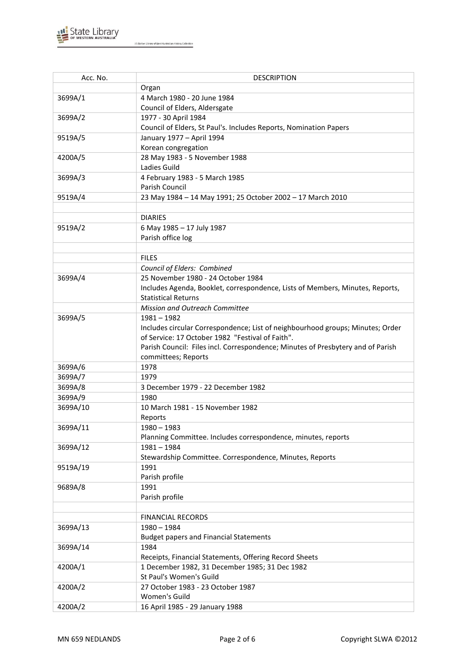

| Acc. No. | <b>DESCRIPTION</b>                                                              |
|----------|---------------------------------------------------------------------------------|
|          | Organ                                                                           |
| 3699A/1  | 4 March 1980 - 20 June 1984                                                     |
|          | Council of Elders, Aldersgate                                                   |
| 3699A/2  | 1977 - 30 April 1984                                                            |
|          | Council of Elders, St Paul's. Includes Reports, Nomination Papers               |
| 9519A/5  | January 1977 - April 1994                                                       |
|          | Korean congregation                                                             |
| 4200A/5  | 28 May 1983 - 5 November 1988                                                   |
|          | Ladies Guild                                                                    |
| 3699A/3  | 4 February 1983 - 5 March 1985                                                  |
|          | Parish Council                                                                  |
| 9519A/4  | 23 May 1984 - 14 May 1991; 25 October 2002 - 17 March 2010                      |
|          |                                                                                 |
|          | <b>DIARIES</b>                                                                  |
| 9519A/2  | 6 May 1985 - 17 July 1987                                                       |
|          | Parish office log                                                               |
|          |                                                                                 |
|          | <b>FILES</b>                                                                    |
|          | Council of Elders: Combined                                                     |
| 3699A/4  | 25 November 1980 - 24 October 1984                                              |
|          | Includes Agenda, Booklet, correspondence, Lists of Members, Minutes, Reports,   |
|          | <b>Statistical Returns</b>                                                      |
|          | Mission and Outreach Committee                                                  |
| 3699A/5  | 1981 - 1982                                                                     |
|          | Includes circular Correspondence; List of neighbourhood groups; Minutes; Order  |
|          | of Service: 17 October 1982 "Festival of Faith".                                |
|          | Parish Council: Files incl. Correspondence; Minutes of Presbytery and of Parish |
|          | committees; Reports                                                             |
| 3699A/6  | 1978                                                                            |
| 3699A/7  | 1979                                                                            |
| 3699A/8  | 3 December 1979 - 22 December 1982                                              |
| 3699A/9  | 1980                                                                            |
| 3699A/10 | 10 March 1981 - 15 November 1982                                                |
|          | Reports                                                                         |
| 3699A/11 | $1980 - 1983$                                                                   |
|          | Planning Committee. Includes correspondence, minutes, reports                   |
| 3699A/12 | $1981 - 1984$                                                                   |
|          | Stewardship Committee. Correspondence, Minutes, Reports                         |
| 9519A/19 | 1991                                                                            |
|          | Parish profile                                                                  |
| 9689A/8  | 1991                                                                            |
|          | Parish profile                                                                  |
|          |                                                                                 |
|          | <b>FINANCIAL RECORDS</b>                                                        |
| 3699A/13 | $1980 - 1984$                                                                   |
|          | <b>Budget papers and Financial Statements</b>                                   |
| 3699A/14 | 1984                                                                            |
|          | Receipts, Financial Statements, Offering Record Sheets                          |
| 4200A/1  | 1 December 1982, 31 December 1985; 31 Dec 1982                                  |
|          | St Paul's Women's Guild                                                         |
| 4200A/2  | 27 October 1983 - 23 October 1987                                               |
|          | Women's Guild                                                                   |
| 4200A/2  | 16 April 1985 - 29 January 1988                                                 |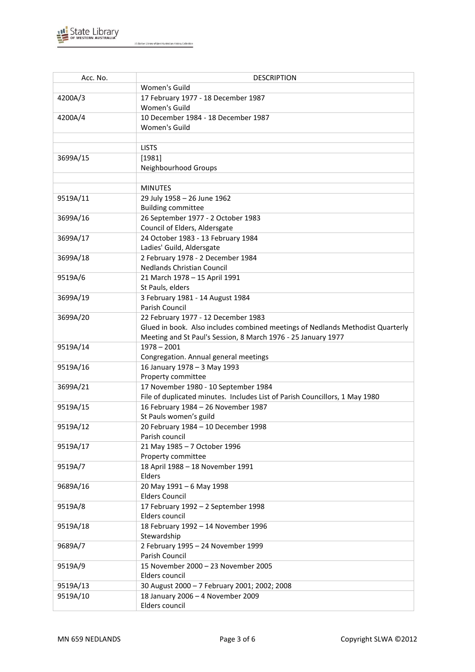

| Acc. No. | <b>DESCRIPTION</b>                                                             |
|----------|--------------------------------------------------------------------------------|
|          | Women's Guild                                                                  |
| 4200A/3  | 17 February 1977 - 18 December 1987                                            |
|          | Women's Guild                                                                  |
| 4200A/4  | 10 December 1984 - 18 December 1987                                            |
|          | Women's Guild                                                                  |
|          |                                                                                |
|          | <b>LISTS</b>                                                                   |
| 3699A/15 | [1981]                                                                         |
|          | Neighbourhood Groups                                                           |
|          |                                                                                |
|          | <b>MINUTES</b>                                                                 |
| 9519A/11 | 29 July 1958 - 26 June 1962                                                    |
|          | <b>Building committee</b>                                                      |
| 3699A/16 | 26 September 1977 - 2 October 1983                                             |
|          | Council of Elders, Aldersgate                                                  |
| 3699A/17 | 24 October 1983 - 13 February 1984                                             |
|          | Ladies' Guild, Aldersgate                                                      |
| 3699A/18 | 2 February 1978 - 2 December 1984                                              |
|          | <b>Nedlands Christian Council</b>                                              |
| 9519A/6  | 21 March 1978 - 15 April 1991                                                  |
|          | St Pauls, elders                                                               |
| 3699A/19 | 3 February 1981 - 14 August 1984<br>Parish Council                             |
| 3699A/20 | 22 February 1977 - 12 December 1983                                            |
|          | Glued in book. Also includes combined meetings of Nedlands Methodist Quarterly |
|          | Meeting and St Paul's Session, 8 March 1976 - 25 January 1977                  |
| 9519A/14 | $1978 - 2001$                                                                  |
|          | Congregation. Annual general meetings                                          |
| 9519A/16 | 16 January 1978 - 3 May 1993                                                   |
|          | Property committee                                                             |
| 3699A/21 | 17 November 1980 - 10 September 1984                                           |
|          | File of duplicated minutes. Includes List of Parish Councillors, 1 May 1980    |
| 9519A/15 | 16 February 1984 - 26 November 1987                                            |
|          | St Pauls women's guild                                                         |
| 9519A/12 | 20 February 1984 - 10 December 1998                                            |
|          | Parish council                                                                 |
| 9519A/17 | 21 May 1985 - 7 October 1996                                                   |
|          | Property committee                                                             |
| 9519A/7  | 18 April 1988 - 18 November 1991                                               |
|          | Elders                                                                         |
| 9689A/16 | 20 May 1991 - 6 May 1998                                                       |
|          | <b>Elders Council</b>                                                          |
| 9519A/8  | 17 February 1992 - 2 September 1998                                            |
|          | Elders council                                                                 |
| 9519A/18 | 18 February 1992 - 14 November 1996                                            |
| 9689A/7  | Stewardship<br>2 February 1995 - 24 November 1999                              |
|          | Parish Council                                                                 |
| 9519A/9  | 15 November 2000 - 23 November 2005                                            |
|          | Elders council                                                                 |
| 9519A/13 | 30 August 2000 - 7 February 2001; 2002; 2008                                   |
| 9519A/10 | 18 January 2006 - 4 November 2009                                              |
|          | Elders council                                                                 |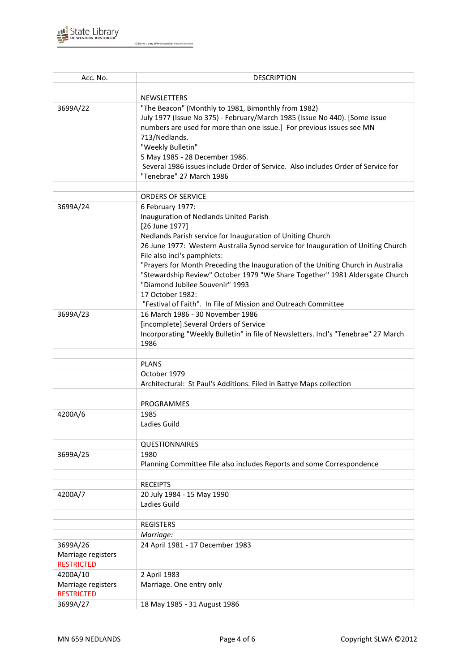

| Acc. No.                       | <b>DESCRIPTION</b>                                                                                                 |
|--------------------------------|--------------------------------------------------------------------------------------------------------------------|
|                                |                                                                                                                    |
|                                | <b>NEWSLETTERS</b>                                                                                                 |
| 3699A/22                       | "The Beacon" (Monthly to 1981, Bimonthly from 1982)                                                                |
|                                | July 1977 (Issue No 375) - February/March 1985 (Issue No 440). [Some issue                                         |
|                                | numbers are used for more than one issue.] For previous issues see MN                                              |
|                                | 713/Nedlands.                                                                                                      |
|                                | "Weekly Bulletin"                                                                                                  |
|                                | 5 May 1985 - 28 December 1986.<br>Several 1986 issues include Order of Service. Also includes Order of Service for |
|                                | "Tenebrae" 27 March 1986                                                                                           |
|                                |                                                                                                                    |
|                                | <b>ORDERS OF SERVICE</b>                                                                                           |
| 3699A/24                       | 6 February 1977:                                                                                                   |
|                                | Inauguration of Nedlands United Parish                                                                             |
|                                | [26 June 1977]                                                                                                     |
|                                | Nedlands Parish service for Inauguration of Uniting Church                                                         |
|                                | 26 June 1977: Western Australia Synod service for Inauguration of Uniting Church                                   |
|                                | File also incl's pamphlets:                                                                                        |
|                                | "Prayers for Month Preceding the Inauguration of the Uniting Church in Australia                                   |
|                                | "Stewardship Review" October 1979 "We Share Together" 1981 Aldersgate Church                                       |
|                                | "Diamond Jubilee Souvenir" 1993<br>17 October 1982:                                                                |
|                                | "Festival of Faith". In File of Mission and Outreach Committee                                                     |
| 3699A/23                       | 16 March 1986 - 30 November 1986                                                                                   |
|                                | [incomplete].Several Orders of Service                                                                             |
|                                | Incorporating "Weekly Bulletin" in file of Newsletters. Incl's "Tenebrae" 27 March                                 |
|                                | 1986                                                                                                               |
|                                |                                                                                                                    |
|                                | <b>PLANS</b>                                                                                                       |
|                                | October 1979                                                                                                       |
|                                | Architectural: St Paul's Additions. Filed in Battye Maps collection                                                |
|                                |                                                                                                                    |
|                                | PROGRAMMES                                                                                                         |
| 4200A/6                        | 1985<br>Ladies Guild                                                                                               |
|                                |                                                                                                                    |
|                                | <b>QUESTIONNAIRES</b>                                                                                              |
| 3699A/25                       | 1980                                                                                                               |
|                                | Planning Committee File also includes Reports and some Correspondence                                              |
|                                |                                                                                                                    |
|                                | <b>RECEIPTS</b>                                                                                                    |
| 4200A/7                        | 20 July 1984 - 15 May 1990                                                                                         |
|                                | Ladies Guild                                                                                                       |
|                                |                                                                                                                    |
|                                | <b>REGISTERS</b>                                                                                                   |
|                                | Marriage:                                                                                                          |
| 3699A/26                       | 24 April 1981 - 17 December 1983                                                                                   |
| Marriage registers             |                                                                                                                    |
| <b>RESTRICTED</b>              |                                                                                                                    |
| 4200A/10<br>Marriage registers | 2 April 1983<br>Marriage. One entry only                                                                           |
| <b>RESTRICTED</b>              |                                                                                                                    |
| 3699A/27                       | 18 May 1985 - 31 August 1986                                                                                       |
|                                |                                                                                                                    |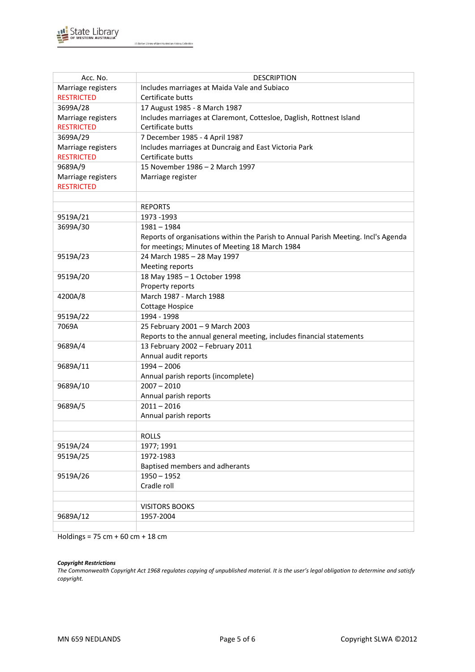

| Acc. No.           | <b>DESCRIPTION</b>                                                                 |
|--------------------|------------------------------------------------------------------------------------|
| Marriage registers | Includes marriages at Maida Vale and Subiaco                                       |
| <b>RESTRICTED</b>  | Certificate butts                                                                  |
| 3699A/28           | 17 August 1985 - 8 March 1987                                                      |
| Marriage registers | Includes marriages at Claremont, Cottesloe, Daglish, Rottnest Island               |
| <b>RESTRICTED</b>  | Certificate butts                                                                  |
| 3699A/29           | 7 December 1985 - 4 April 1987                                                     |
| Marriage registers | Includes marriages at Duncraig and East Victoria Park                              |
| <b>RESTRICTED</b>  | Certificate butts                                                                  |
| 9689A/9            | 15 November 1986 - 2 March 1997                                                    |
| Marriage registers | Marriage register                                                                  |
| <b>RESTRICTED</b>  |                                                                                    |
|                    |                                                                                    |
|                    | <b>REPORTS</b>                                                                     |
| 9519A/21           | 1973 - 1993                                                                        |
| 3699A/30           | $1981 - 1984$                                                                      |
|                    | Reports of organisations within the Parish to Annual Parish Meeting. Incl's Agenda |
|                    | for meetings; Minutes of Meeting 18 March 1984                                     |
| 9519A/23           | 24 March 1985 - 28 May 1997                                                        |
|                    | Meeting reports                                                                    |
| 9519A/20           | 18 May 1985 - 1 October 1998                                                       |
|                    | Property reports                                                                   |
| 4200A/8            | March 1987 - March 1988                                                            |
|                    | <b>Cottage Hospice</b>                                                             |
| 9519A/22           | 1994 - 1998                                                                        |
| 7069A              | 25 February 2001 - 9 March 2003                                                    |
|                    | Reports to the annual general meeting, includes financial statements               |
| 9689A/4            | 13 February 2002 - February 2011                                                   |
|                    | Annual audit reports                                                               |
| 9689A/11           | $1994 - 2006$                                                                      |
|                    | Annual parish reports (incomplete)                                                 |
| 9689A/10           | $2007 - 2010$                                                                      |
|                    | Annual parish reports                                                              |
| 9689A/5            | $2011 - 2016$                                                                      |
|                    | Annual parish reports                                                              |
|                    |                                                                                    |
|                    | <b>ROLLS</b>                                                                       |
| 9519A/24           | 1977; 1991                                                                         |
| 9519A/25           | 1972-1983                                                                          |
|                    | Baptised members and adherants                                                     |
| 9519A/26           | $1950 - 1952$                                                                      |
|                    | Cradle roll                                                                        |
|                    |                                                                                    |
|                    | <b>VISITORS BOOKS</b>                                                              |
| 9689A/12           | 1957-2004                                                                          |
|                    |                                                                                    |

Holdings =  $75 \text{ cm} + 60 \text{ cm} + 18 \text{ cm}$ 

#### *Copyright Restrictions*

The Commonwealth Copyright Act 1968 regulates copying of unpublished material. It is the user's legal obligation to determine and satisfy *copyright.*